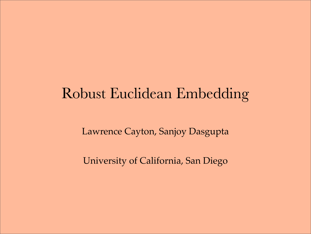# Robust Euclidean Embedding

Lawrence Cayton, Sanjoy Dasgupta

University of California, San Diego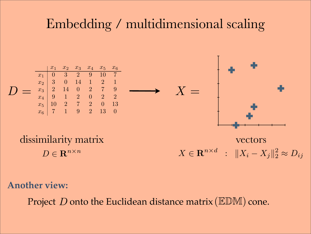## Embedding / multidimensional scaling



**Another view:**

Project D onto the Euclidean distance matrix (EDM) cone.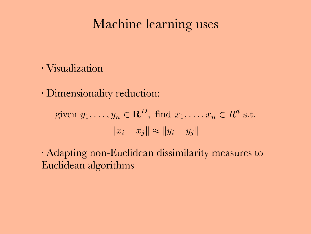## Machine learning uses

- Visualization
- Dimensionality reduction:

$$
\text{given } y_1, \dots, y_n \in \mathbf{R}^D, \text{ find } x_1, \dots, x_n \in R^d \text{ s.t.}
$$

$$
\|x_i - x_j\| \approx \|y_i - y_j\|
$$

• Adapting non-Euclidean dissimilarity measures to Euclidean algorithms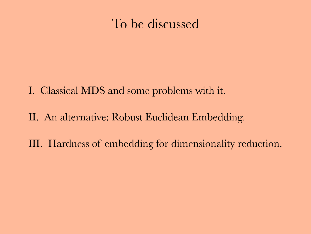## To be discussed

- I. Classical MDS and some problems with it.
- II. An alternative: Robust Euclidean Embedding.
- III. Hardness of embedding for dimensionality reduction.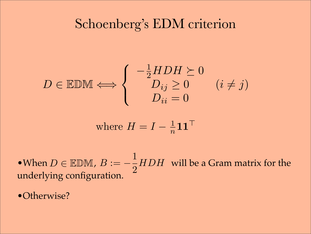## Schoenberg's EDM criterion

$$
D \in \mathbb{EDM} \Longleftrightarrow \begin{cases} -\frac{1}{2} HDH \succeq 0 \\ D_{ij} \ge 0 \\ D_{ii} = 0 \end{cases} (i \ne j)
$$

where 
$$
H = I - \frac{1}{n} \mathbf{1} \mathbf{1}^\top
$$

 $B:=-\frac{1}{2}$ 2 •When  $D \in \mathbb{EDM}$ ,  $B := -\frac{1}{2} HDH$  will be a Gram matrix for the underlying configuration.

•Otherwise?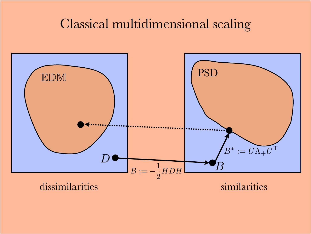## Classical multidimensional scaling

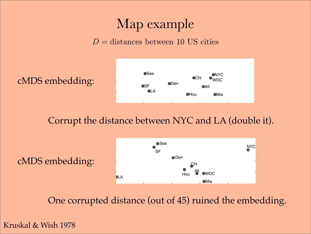## Map example

#### $D =$  distances between 10 US cities

 $\sim$ cMDS embedding:



 $\ddot{\phantom{1}}$ Corrupt the distance between NYC and LA (double it).  $\mathbf{v}_i$  $\mathbf{f}_1$  $\sim$  10  $\pm$  10  $\pm$  $\overline{d}$ 

cMDS embedding:



One corrupted distance (out of 45) ruined the embedding.

Kruskal & Wish 1978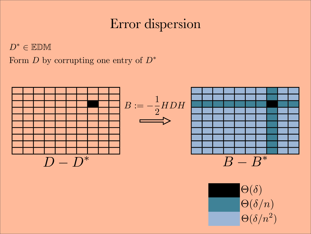# Error dispersion

 $D^* \in \mathbb{EDM}$ 

Form *D* by corrupting one entry of *D*<sup>∗</sup>



 $\Theta(\delta/n^2)$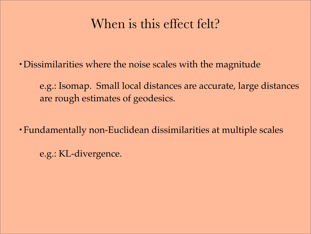# When is this effect felt?

•Dissimilarities where the noise scales with the magnitude

e.g.: Isomap. Small local distances are accurate, large distances are rough estimates of geodesics.

- Fundamentally non-Euclidean dissimilarities at multiple scales
	- e.g.: KL-divergence.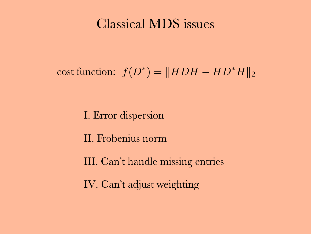## Classical MDS issues

# $\text{cost function: } f(D^*) = ||HDH - HD^*H||_2$

I. Error dispersion

II. Frobenius norm

III. Can't handle missing entries

IV. Can't adjust weighting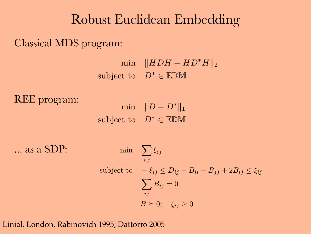## Robust Euclidean Embedding

Classical MDS program:

 $\text{min}$   $\|HDH - HD^*H\|_2$ subject to  $D^* \in \mathbb{EDM}$ 

REE program:

min  $||D - D^*||_1$ subject to  $D^* \in \mathbb{EDM}$ 

... as a SDP:

$$
\begin{aligned}\n\min \quad & \sum_{i,j} \xi_{ij} \\
\text{subject to} \quad & -\xi_{ij} \le D_{ij} - B_{ii} - B_{jj} + 2B_{ij} \le \xi_{ij} \\
& \sum_{ij} B_{ij} = 0 \\
& B \ge 0; \quad \xi_{ij} \ge 0\n\end{aligned}
$$

Linial, London, Rabinovich 1995; Dattorro 2005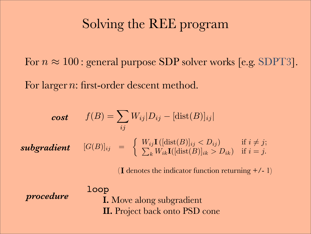## Solving the REE program

For  $n \approx 100$ : general purpose SDP solver works [e.g. SDPT3].

For larger n: first-order descent method.

$$
cost \t f(B) = \sum_{ij} W_{ij} |D_{ij} - [\text{dist}(B)]_{ij}|
$$
  
*subgradient*  $[G(B)]_{ij} = \begin{cases} W_{ij} \mathbf{I}([\text{dist}(B)]_{ij} < D_{ij}) & \text{if } i \neq j; \\ \sum_{k} W_{ik} \mathbf{I}([\text{dist}(B)]_{ik} > D_{ik}) & \text{if } i = j. \end{cases}$ 

( I denotes the indicator function returning +/- 1)

*procedure*

loop **I.** Move along subgradient **II.** Project back onto PSD cone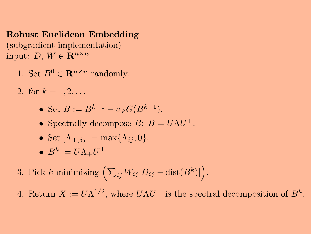Robust Euclidean Embedding (subgradient implementation) input:  $D, W \in \mathbf{R}^{n \times n}$ 

- 1. Set  $B^0 \in \mathbf{R}^{n \times n}$  randomly.
- 2. for  $k = 1, 2, \ldots$ 
	- Set  $B := B^{k-1} \alpha_k G(B^{k-1}).$
	- Spectrally decompose  $B: B = U\Lambda U^{\top}$ .
	- Set  $[\Lambda_+]_{ij} := \max\{\Lambda_{ij}, 0\}.$
	- $\bullet$   $B^k := U \Lambda_+ U^\top$ .
- 3. Pick k minimizing  $\left(\sum\right)$  $\langle i_{ij}|W_{ij}|D_{ij}-\mathrm{dist}(B^k)|^2\rangle$  $\overline{ }$ .

4. Return  $X := U\Lambda^{1/2}$ , where  $U\Lambda U^{\top}$  is the spectral decomposition of  $B^k$ .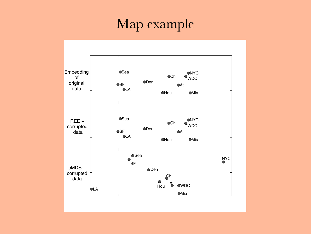## Map example

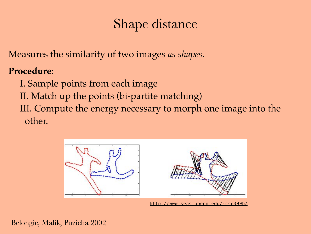# Shape distance

Measures the similarity of two images *as shapes.*

#### **Procedure**:

- I. Sample points from each image
- II. Match up the points (bi-partite matching)
- III. Compute the energy necessary to morph one image into the other.



http://www.seas.upenn.edu/~cse399b/

Belongie, Malik, Puzicha 2002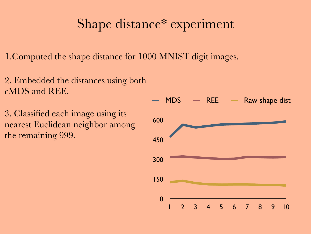## Shape distance\* experiment

1.Computed the shape distance for 1000 MNIST digit images.

- 2. Embedded the distances using both cMDS and REE.
- 3. Classified each image using its nearest Euclidean neighbor among the remaining 999.

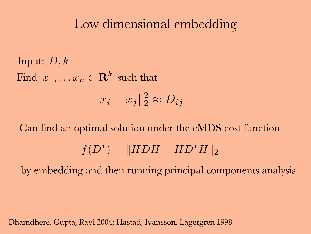## Low dimensional embedding

Input: *D, k* Find  $x_1, \ldots x_n \in \mathbf{R}^k$  such that  $||x_i - x_j||_2^2 \approx D_{ij}$ 

Can find an optimal solution under the cMDS cost function  $f(D^*) = ||HDH - HD^*H||_2$ 

by embedding and then running principal components analysis

Dhamdhere, Gupta, Ravi 2004; Hastad, Ivansson, Lagergren 1998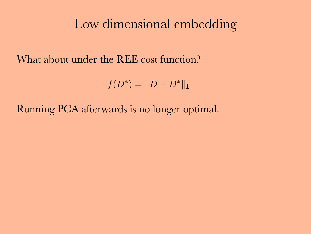## Low dimensional embedding

What about under the REE cost function?

$$
f(D^*) = ||D - D^*||_1
$$

Running PCA afterwards is no longer optimal.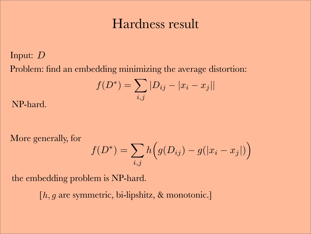## Hardness result

#### Input: *D* Problem: find an embedding minimizing the average distortion:

$$
f(D^*) = \sum_{i,j} |D_{ij} - |x_i - x_j||
$$

NP-hard.

More generally, for

$$
f(D^*) = \sum_{i,j} h(g(D_{ij}) - g(|x_i - x_j|))
$$

the embedding problem is NP-hard.

[ $h, g$  are symmetric, bi-lipshitz, & monotonic.]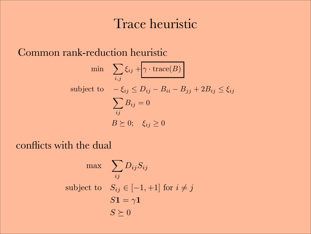## Trace heuristic

Common rank-reduction heuristic

$$
\min \quad \sum_{i,j} \xi_{ij} + \gamma \cdot \text{trace}(B)
$$
\n
$$
\text{subject to} \quad -\xi_{ij} \le D_{ij} - B_{ii} - B_{jj} + 2B_{ij} \le \xi_{ij}
$$
\n
$$
\sum_{ij} B_{ij} = 0
$$
\n
$$
B \succeq 0; \quad \xi_{ij} \ge 0
$$

#### conflicts with the dual

$$
\max \sum_{ij} D_{ij} S_{ij}
$$
\nsubject to 
$$
S_{ij} \in [-1, +1] \text{ for } i \neq j
$$
\n
$$
S\mathbf{1} = \gamma \mathbf{1}
$$
\n
$$
S \succeq 0
$$